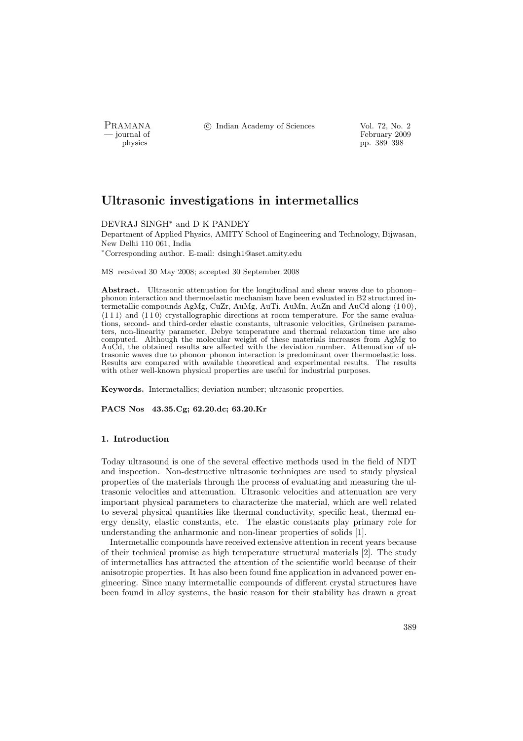PRAMANA <sup>C</sup> Indian Academy of Sciences Vol. 72, No. 2

physics<br>
and the state of February 2009<br>
pp. 389–398 physics pp. 389–398

# Ultrasonic investigations in intermetallics

DEVRAJ SINGH<sup>∗</sup> and D K PANDEY

Department of Applied Physics, AMITY School of Engineering and Technology, Bijwasan, New Delhi 110 061, India <sup>∗</sup>Corresponding author. E-mail: dsingh1@aset.amity.edu

MS received 30 May 2008; accepted 30 September 2008

Abstract. Ultrasonic attenuation for the longitudinal and shear waves due to phonon– phonon interaction and thermoelastic mechanism have been evaluated in B2 structured intermetallic compounds AgMg, CuZr, AuMg, AuTi, AuMn, AuZn and AuCd along  $\langle 100 \rangle$ ,  $\langle 111 \rangle$  and  $\langle 110 \rangle$  crystallographic directions at room temperature. For the same evaluations, second- and third-order elastic constants, ultrasonic velocities, Grüneisen parameters, non-linearity parameter, Debye temperature and thermal relaxation time are also computed. Although the molecular weight of these materials increases from AgMg to AuCd, the obtained results are affected with the deviation number. Attenuation of ultrasonic waves due to phonon–phonon interaction is predominant over thermoelastic loss. Results are compared with available theoretical and experimental results. The results with other well-known physical properties are useful for industrial purposes.

Keywords. Intermetallics; deviation number; ultrasonic properties.

PACS Nos 43.35.Cg; 62.20.dc; 63.20.Kr

## 1. Introduction

Today ultrasound is one of the several effective methods used in the field of NDT and inspection. Non-destructive ultrasonic techniques are used to study physical properties of the materials through the process of evaluating and measuring the ultrasonic velocities and attenuation. Ultrasonic velocities and attenuation are very important physical parameters to characterize the material, which are well related to several physical quantities like thermal conductivity, specific heat, thermal energy density, elastic constants, etc. The elastic constants play primary role for understanding the anharmonic and non-linear properties of solids [1].

Intermetallic compounds have received extensive attention in recent years because of their technical promise as high temperature structural materials [2]. The study of intermetallics has attracted the attention of the scientific world because of their anisotropic properties. It has also been found fine application in advanced power engineering. Since many intermetallic compounds of different crystal structures have been found in alloy systems, the basic reason for their stability has drawn a great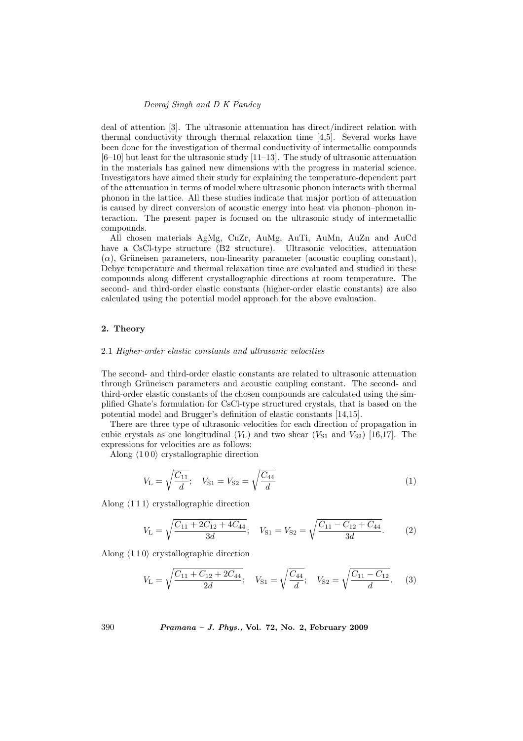deal of attention [3]. The ultrasonic attenuation has direct/indirect relation with thermal conductivity through thermal relaxation time [4,5]. Several works have been done for the investigation of thermal conductivity of intermetallic compounds  $[6–10]$  but least for the ultrasonic study  $[11–13]$ . The study of ultrasonic attenuation in the materials has gained new dimensions with the progress in material science. Investigators have aimed their study for explaining the temperature-dependent part of the attenuation in terms of model where ultrasonic phonon interacts with thermal phonon in the lattice. All these studies indicate that major portion of attenuation is caused by direct conversion of acoustic energy into heat via phonon–phonon interaction. The present paper is focused on the ultrasonic study of intermetallic compounds.

All chosen materials AgMg, CuZr, AuMg, AuTi, AuMn, AuZn and AuCd have a CsCl-type structure (B2 structure). Ultrasonic velocities, attenuation  $(\alpha)$ , Grüneisen parameters, non-linearity parameter (acoustic coupling constant), Debye temperature and thermal relaxation time are evaluated and studied in these compounds along different crystallographic directions at room temperature. The second- and third-order elastic constants (higher-order elastic constants) are also calculated using the potential model approach for the above evaluation.

## 2. Theory

#### 2.1 Higher-order elastic constants and ultrasonic velocities

The second- and third-order elastic constants are related to ultrasonic attenuation through Grüneisen parameters and acoustic coupling constant. The second- and third-order elastic constants of the chosen compounds are calculated using the simplified Ghate's formulation for CsCl-type structured crystals, that is based on the potential model and Brugger's definition of elastic constants [14,15].

There are three type of ultrasonic velocities for each direction of propagation in cubic crystals as one longitudinal  $(V_L)$  and two shear  $(V_{S1}$  and  $V_{S2})$  [16,17]. The expressions for velocities are as follows:

Along  $\langle 100 \rangle$  crystallographic direction

$$
V_{\rm L} = \sqrt{\frac{C_{11}}{d}}; \quad V_{\rm S1} = V_{\rm S2} = \sqrt{\frac{C_{44}}{d}} \tag{1}
$$

Along  $\langle 1 1 1 \rangle$  crystallographic direction

$$
V_{\rm L} = \sqrt{\frac{C_{11} + 2C_{12} + 4C_{44}}{3d}}; \quad V_{\rm S1} = V_{\rm S2} = \sqrt{\frac{C_{11} - C_{12} + C_{44}}{3d}}.\tag{2}
$$

Along  $\langle 1 1 0 \rangle$  crystallographic direction

$$
V_{\rm L} = \sqrt{\frac{C_{11} + C_{12} + 2C_{44}}{2d}}; \quad V_{\rm S1} = \sqrt{\frac{C_{44}}{d}}; \quad V_{\rm S2} = \sqrt{\frac{C_{11} - C_{12}}{d}}.
$$
 (3)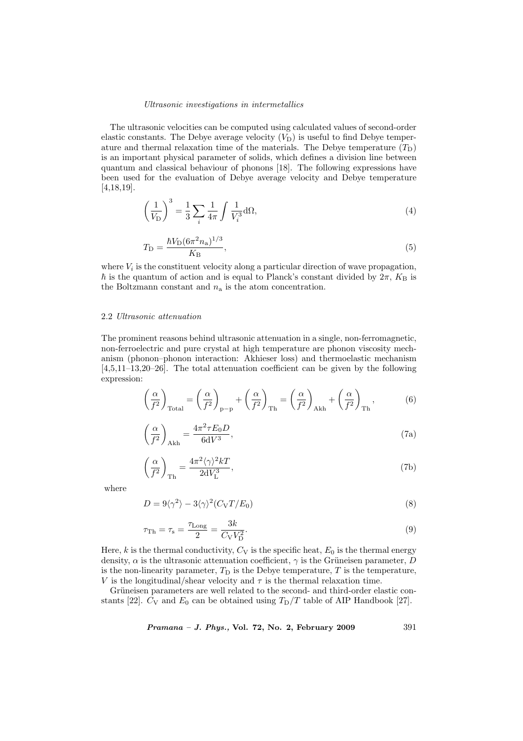#### Ultrasonic investigations in intermetallics

The ultrasonic velocities can be computed using calculated values of second-order elastic constants. The Debye average velocity  $(V<sub>D</sub>)$  is useful to find Debye temperature and thermal relaxation time of the materials. The Debye temperature  $(T<sub>D</sub>)$ is an important physical parameter of solids, which defines a division line between quantum and classical behaviour of phonons [18]. The following expressions have been used for the evaluation of Debye average velocity and Debye temperature [4,18,19].

$$
\left(\frac{1}{V_{\rm D}}\right)^3 = \frac{1}{3} \sum_{i} \frac{1}{4\pi} \int \frac{1}{V_i^3} d\Omega,\tag{4}
$$

$$
T_{\rm D} = \frac{\hbar V_{\rm D} (6\pi^2 n_{\rm a})^{1/3}}{K_{\rm B}},\tag{5}
$$

where  $V_i$  is the constituent velocity along a particular direction of wave propagation,  $h$  is the quantum of action and is equal to Planck's constant divided by  $2\pi$ ,  $K_B$  is the Boltzmann constant and  $n_a$  is the atom concentration.

#### 2.2 Ultrasonic attenuation

The prominent reasons behind ultrasonic attenuation in a single, non-ferromagnetic, non-ferroelectric and pure crystal at high temperature are phonon viscosity mechanism (phonon–phonon interaction: Akhieser loss) and thermoelastic mechanism [4,5,11–13,20–26]. The total attenuation coefficient can be given by the following expression:

$$
\left(\frac{\alpha}{f^2}\right)_{\text{Total}} = \left(\frac{\alpha}{f^2}\right)_{\text{p}-\text{p}} + \left(\frac{\alpha}{f^2}\right)_{\text{Th}} = \left(\frac{\alpha}{f^2}\right)_{\text{Akh}} + \left(\frac{\alpha}{f^2}\right)_{\text{Th}},\tag{6}
$$

$$
\left(\frac{\alpha}{f^2}\right)_{\text{Akh}} = \frac{4\pi^2 \tau E_0 D}{6dV^3},\tag{7a}
$$

$$
\left(\frac{\alpha}{f^2}\right)_{\text{Th}} = \frac{4\pi^2 \langle \gamma \rangle^2 kT}{2dV_L^3},\tag{7b}
$$

where

$$
D = 9\langle \gamma^2 \rangle - 3\langle \gamma \rangle^2 (C_V T / E_0)
$$
\n(8)

$$
\tau_{\rm Th} = \tau_{\rm s} = \frac{\tau_{\rm Long}}{2} = \frac{3k}{C_{\rm V} V_{\rm D}^2}.\tag{9}
$$

Here, k is the thermal conductivity,  $C_V$  is the specific heat,  $E_0$  is the thermal energy density,  $\alpha$  is the ultrasonic attenuation coefficient,  $\gamma$  is the Grüneisen parameter, D is the non-linearity parameter,  $T<sub>D</sub>$  is the Debye temperature,  $T$  is the temperature, V is the longitudinal/shear velocity and  $\tau$  is the thermal relaxation time.

Grüneisen parameters are well related to the second- and third-order elastic constants [22].  $C_V$  and  $E_0$  can be obtained using  $T_D/T$  table of AIP Handbook [27].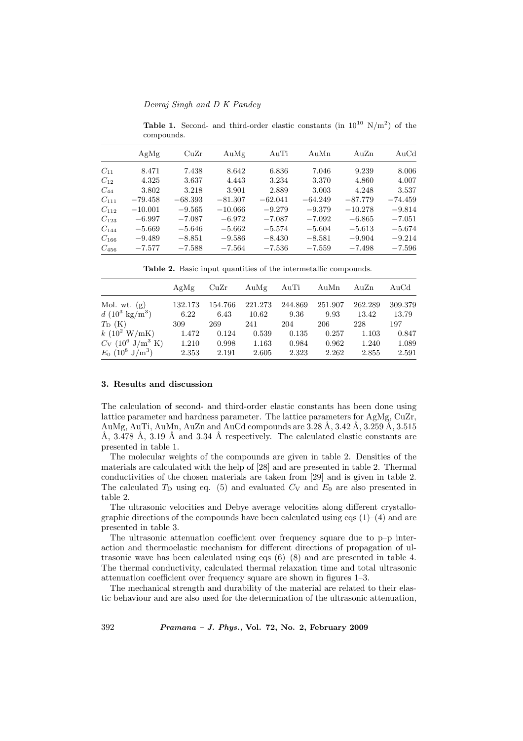|           | AgMg      | CuZr      | AuMg      | AuTi      | AuMn      | AuZn      | AuCd      |
|-----------|-----------|-----------|-----------|-----------|-----------|-----------|-----------|
| $C_{11}$  | 8.471     | 7.438     | 8.642     | 6.836     | 7.046     | 9.239     | 8.006     |
| $C_{12}$  | 4.325     | 3.637     | 4.443     | 3.234     | 3.370     | 4.860     | 4.007     |
| $C_{44}$  | 3.802     | 3.218     | 3.901     | 2.889     | 3.003     | 4.248     | 3.537     |
| $C_{111}$ | $-79.458$ | $-68.393$ | $-81.307$ | $-62.041$ | $-64.249$ | $-87.779$ | $-74.459$ |
| $C_{112}$ | $-10.001$ | $-9.565$  | $-10.066$ | $-9.279$  | $-9.379$  | $-10.278$ | $-9.814$  |
| $C_{123}$ | $-6.997$  | $-7.087$  | $-6.972$  | $-7.087$  | $-7.092$  | $-6.865$  | $-7.051$  |
| $C_{144}$ | $-5.669$  | $-5.646$  | $-5.662$  | $-5.574$  | $-5.604$  | $-5.613$  | $-5.674$  |
| $C_{166}$ | $-9.489$  | $-8.851$  | $-9.586$  | $-8.430$  | $-8.581$  | $-9.904$  | $-9.214$  |
| $C_{456}$ | $-7.577$  | $-7.588$  | $-7.564$  | $-7.536$  | $-7.559$  | $-7.498$  | $-7.596$  |

**Table 1.** Second- and third-order elastic constants (in  $10^{10}$  N/m<sup>2</sup>) of the compounds.

Table 2. Basic input quantities of the intermetallic compounds.

|                                            | AgMg    | CuZr    | Au $Mg$ | AuTi    | AuMn    | AuZn    | $\mathrm{AuCd}$ |
|--------------------------------------------|---------|---------|---------|---------|---------|---------|-----------------|
| Mol. wt. $(g)$                             | 132.173 | 154.766 | 221.273 | 244.869 | 251.907 | 262.289 | 309.379         |
| d $(10^3 \text{ kg/m}^3)$                  | 6.22    | 6.43    | 10.62   | 9.36    | 9.93    | 13.42   | 13.79           |
| $T_{\rm D}$ (K)                            | 309     | 269     | 241     | 204     | 206     | 228     | 197             |
| $k(10^2 \text{ W/mK})$                     | 1.472   | 0.124   | 0.539   | 0.135   | 0.257   | 1.103   | 0.847           |
| $C_V$ (10 <sup>6</sup> J/m <sup>3</sup> K) | 1.210   | 0.998   | 1.163   | 0.984   | 0.962   | 1.240   | 1.089           |
| $E_0$ (10 <sup>8</sup> J/m <sup>3</sup> )  | 2.353   | 2.191   | 2.605   | 2.323   | 2.262   | 2.855   | 2.591           |

## 3. Results and discussion

The calculation of second- and third-order elastic constants has been done using lattice parameter and hardness parameter. The lattice parameters for AgMg, CuZr, AuMg, AuTi, AuMn, AuZn and AuCd compounds are  $3.28 \text{ Å}, 3.42 \text{ Å}, 3.259 \text{ Å}, 3.515$ Å, 3.478 Å, 3.19 Å and 3.34 Å respectively. The calculated elastic constants are presented in table 1.

The molecular weights of the compounds are given in table 2. Densities of the materials are calculated with the help of [28] and are presented in table 2. Thermal conductivities of the chosen materials are taken from [29] and is given in table 2. The calculated  $T_D$  using eq. (5) and evaluated  $C_V$  and  $E_0$  are also presented in table 2.

The ultrasonic velocities and Debye average velocities along different crystallographic directions of the compounds have been calculated using eqs  $(1)-(4)$  and are presented in table 3.

The ultrasonic attenuation coefficient over frequency square due to p–p interaction and thermoelastic mechanism for different directions of propagation of ultrasonic wave has been calculated using eqs (6)–(8) and are presented in table 4. The thermal conductivity, calculated thermal relaxation time and total ultrasonic attenuation coefficient over frequency square are shown in figures 1–3.

The mechanical strength and durability of the material are related to their elastic behaviour and are also used for the determination of the ultrasonic attenuation,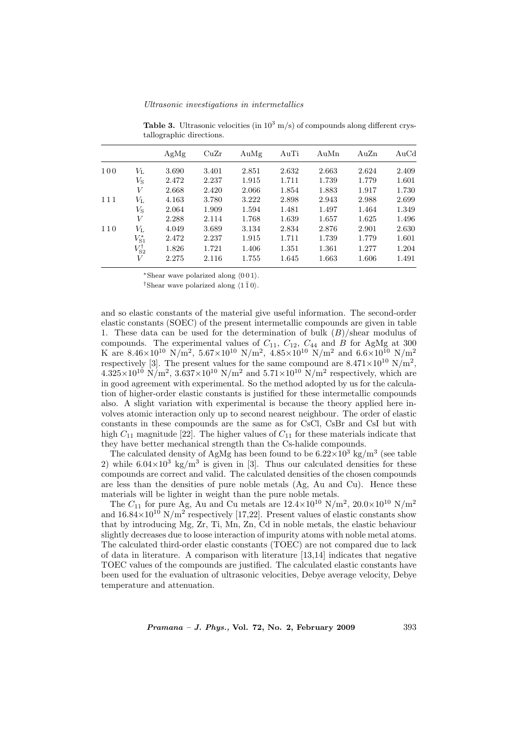Ultrasonic investigations in intermetallics

**Table 3.** Ultrasonic velocities (in  $10^3$  m/s) of compounds along different crystallographic directions.

|     |                      | AgMg  | CuZr  | AuMg  | AuTi  | AuMn  | AuZn  | AuCd  |
|-----|----------------------|-------|-------|-------|-------|-------|-------|-------|
| 100 | Vī.                  | 3.690 | 3.401 | 2.851 | 2.632 | 2.663 | 2.624 | 2.409 |
|     | $V_{\rm S}$          | 2.472 | 2.237 | 1.915 | 1.711 | 1.739 | 1.779 | 1.601 |
|     | V                    | 2.668 | 2.420 | 2.066 | 1.854 | 1.883 | 1.917 | 1.730 |
| 111 | И.                   | 4.163 | 3.780 | 3.222 | 2.898 | 2.943 | 2.988 | 2.699 |
|     | Vs                   | 2.064 | 1.909 | 1.594 | 1.481 | 1.497 | 1.464 | 1.349 |
|     | V                    | 2.288 | 2.114 | 1.768 | 1.639 | 1.657 | 1.625 | 1.496 |
| 110 | Vī.                  | 4.049 | 3.689 | 3.134 | 2.834 | 2.876 | 2.901 | 2.630 |
|     | $V_{\rm S1}^*$       | 2.472 | 2.237 | 1.915 | 1.711 | 1.739 | 1.779 | 1.601 |
|     | $V_{\rm S2}^\dagger$ | 1.826 | 1.721 | 1.406 | 1.351 | 1.361 | 1.277 | 1.204 |
|     | V                    | 2.275 | 2.116 | 1.755 | 1.645 | 1.663 | 1.606 | 1.491 |

\*Shear wave polarized along  $(0 0 1)$ .

<sup>†</sup>Shear wave polarized along  $\langle 1 \bar{1} 0 \rangle$ .

and so elastic constants of the material give useful information. The second-order elastic constants (SOEC) of the present intermetallic compounds are given in table 1. These data can be used for the determination of bulk  $(B)/\text{shear}$  modulus of compounds. The experimental values of  $C_{11}$ ,  $C_{12}$ ,  $C_{44}$  and B for AgMg at 300 K are  $8.46\times10^{10}$  N/m<sup>2</sup>,  $5.67\times10^{10}$  N/m<sup>2</sup>,  $4.85\times10^{10}$  N/m<sup>2</sup> and  $6.6\times10^{10}$  N/m<sup>2</sup> respectively [3]. The present values for the same compound are  $8.471 \times 10^{10}$  N/m<sup>2</sup>,  $4.325 \times 10^{10} \text{ N/m}^2$ ,  $3.637 \times 10^{10} \text{ N/m}^2$  and  $5.71 \times 10^{10} \text{ N/m}^2$  respectively, which are in good agreement with experimental. So the method adopted by us for the calculation of higher-order elastic constants is justified for these intermetallic compounds also. A slight variation with experimental is because the theory applied here involves atomic interaction only up to second nearest neighbour. The order of elastic constants in these compounds are the same as for CsCl, CsBr and CsI but with high  $C_{11}$  magnitude [22]. The higher values of  $C_{11}$  for these materials indicate that they have better mechanical strength than the Cs-halide compounds.

The calculated density of AgMg has been found to be  $6.22 \times 10^3$  kg/m<sup>3</sup> (see table 2) while  $6.04 \times 10^3$  kg/m<sup>3</sup> is given in [3]. Thus our calculated densities for these compounds are correct and valid. The calculated densities of the chosen compounds are less than the densities of pure noble metals (Ag, Au and Cu). Hence these materials will be lighter in weight than the pure noble metals.

The  $C_{11}$  for pure Ag, Au and Cu metals are  $12.4 \times 10^{10}$  N/m<sup>2</sup>,  $20.0 \times 10^{10}$  N/m<sup>2</sup> and  $16.84 \times 10^{10}$  N/m<sup>2</sup> respectively [17,22]. Present values of elastic constants show that by introducing Mg, Zr, Ti, Mn, Zn, Cd in noble metals, the elastic behaviour slightly decreases due to loose interaction of impurity atoms with noble metal atoms. The calculated third-order elastic constants (TOEC) are not compared due to lack of data in literature. A comparison with literature [13,14] indicates that negative TOEC values of the compounds are justified. The calculated elastic constants have been used for the evaluation of ultrasonic velocities, Debye average velocity, Debye temperature and attenuation.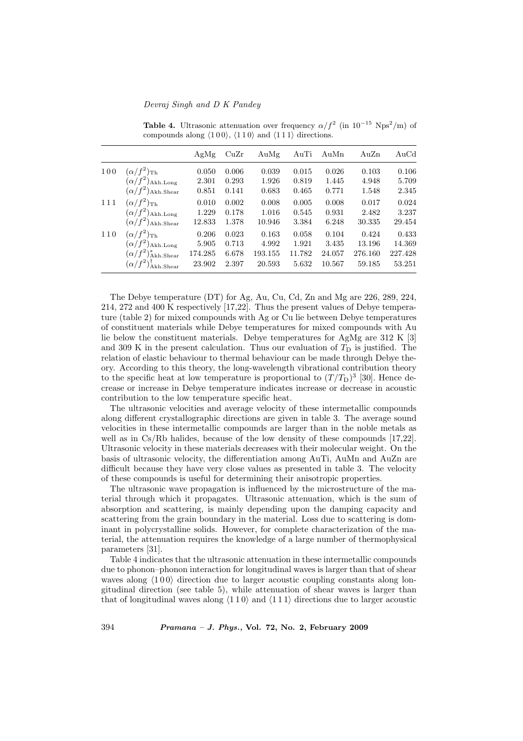|     |                                                     | AgMg    | CuZr  | AuMg    | AuTi   | AuMn   | AuZn    | AuCd    |
|-----|-----------------------------------------------------|---------|-------|---------|--------|--------|---------|---------|
| 100 | $(\alpha/f^2)_{\text{Th}}$                          | 0.050   | 0.006 | 0.039   | 0.015  | 0.026  | 0.103   | 0.106   |
|     | $(\alpha/f^2)_{\rm Akh.Long}$                       | 2.301   | 0.293 | 1.926   | 0.819  | 1.445  | 4.948   | 5.709   |
|     | $(\alpha/f^2)$ Akh.Shear                            | 0.851   | 0.141 | 0.683   | 0.465  | 0.771  | 1.548   | 2.345   |
| 111 | $(\alpha/f^2)_{\text{Th}}$                          | 0.010   | 0.002 | 0.008   | 0.005  | 0.008  | 0.017   | 0.024   |
|     | $(\alpha/f^2)_{\rm Akh.Long}$                       | 1.229   | 0.178 | 1.016   | 0.545  | 0.931  | 2.482   | 3.237   |
|     | $(\alpha/f^2)_{\rm Akh. Shear}$                     | 12.833  | 1.378 | 10.946  | 3.384  | 6.248  | 30.335  | 29.454  |
| 110 | $(\alpha/f^2)_{\text{Th}}$                          | 0.206   | 0.023 | 0.163   | 0.058  | 0.104  | 0.424   | 0.433   |
|     | $(\alpha/f^2)_{\text{Akh.Long}}$                    | 5.905   | 0.713 | 4.992   | 1.921  | 3.435  | 13.196  | 14.369  |
|     | $(\alpha/f^2)^*_{\rm Akh. Shear}$                   | 174.285 | 6.678 | 193.155 | 11.782 | 24.057 | 276.160 | 227.428 |
|     | $(\alpha/f^2)$<br>$\int_{\rm Akh. Shear}^{\dagger}$ | 23.902  | 2.397 | 20.593  | 5.632  | 10.567 | 59.185  | 53.251  |

**Table 4.** Ultrasonic attenuation over frequency  $\alpha/f^2$  (in  $10^{-15}$  Nps<sup>2</sup>/m) of compounds along  $\langle 100 \rangle$ ,  $\langle 110 \rangle$  and  $\langle 111 \rangle$  directions.

The Debye temperature (DT) for Ag, Au, Cu, Cd, Zn and Mg are 226, 289, 224, 214, 272 and 400 K respectively [17,22]. Thus the present values of Debye temperature (table 2) for mixed compounds with Ag or Cu lie between Debye temperatures of constituent materials while Debye temperatures for mixed compounds with Au lie below the constituent materials. Debye temperatures for AgMg are 312 K [3] and 309 K in the present calculation. Thus our evaluation of  $T<sub>D</sub>$  is justified. The relation of elastic behaviour to thermal behaviour can be made through Debye theory. According to this theory, the long-wavelength vibrational contribution theory to the specific heat at low temperature is proportional to  $(T/T_D)^3$  [30]. Hence decrease or increase in Debye temperature indicates increase or decrease in acoustic contribution to the low temperature specific heat.

The ultrasonic velocities and average velocity of these intermetallic compounds along different crystallographic directions are given in table 3. The average sound velocities in these intermetallic compounds are larger than in the noble metals as well as in Cs/Rb halides, because of the low density of these compounds [17,22]. Ultrasonic velocity in these materials decreases with their molecular weight. On the basis of ultrasonic velocity, the differentiation among AuTi, AuMn and AuZn are difficult because they have very close values as presented in table 3. The velocity of these compounds is useful for determining their anisotropic properties.

The ultrasonic wave propagation is influenced by the microstructure of the material through which it propagates. Ultrasonic attenuation, which is the sum of absorption and scattering, is mainly depending upon the damping capacity and scattering from the grain boundary in the material. Loss due to scattering is dominant in polycrystalline solids. However, for complete characterization of the material, the attenuation requires the knowledge of a large number of thermophysical parameters [31].

Table 4 indicates that the ultrasonic attenuation in these intermetallic compounds due to phonon–phonon interaction for longitudinal waves is larger than that of shear waves along  $\langle 100 \rangle$  direction due to larger acoustic coupling constants along longitudinal direction (see table 5), while attenuation of shear waves is larger than that of longitudinal waves along  $\langle 1 1 0 \rangle$  and  $\langle 1 1 1 \rangle$  directions due to larger acoustic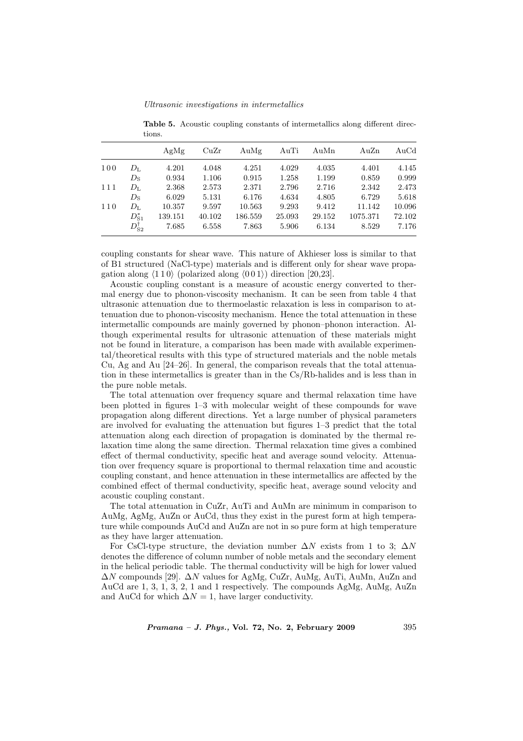Ultrasonic investigations in intermetallics

|     |                             | AgMg    | CuZr   | AuMg    | AuTi   | AuMn   | AuZn     | AuCd   |
|-----|-----------------------------|---------|--------|---------|--------|--------|----------|--------|
| 100 | $D_{\rm L}$                 | 4.201   | 4.048  | 4.251   | 4.029  | 4.035  | 4.401    | 4.145  |
|     | $D_{\rm S}$                 | 0.934   | 1.106  | 0.915   | 1.258  | 1.199  | 0.859    | 0.999  |
| 111 | $D_{\rm L}$                 | 2.368   | 2.573  | 2.371   | 2.796  | 2.716  | 2.342    | 2.473  |
|     | $D_{\rm S}$                 | 6.029   | 5.131  | 6.176   | 4.634  | 4.805  | 6.729    | 5.618  |
| 110 | $D_{\rm L}$                 | 10.357  | 9.597  | 10.563  | 9.293  | 9.412  | 11.142   | 10.096 |
|     | $D_{\rm S1}^*$              | 139.151 | 40.102 | 186.559 | 25.093 | 29.152 | 1075.371 | 72.102 |
|     | $D_{\mathrm{S2}}^{\dagger}$ | 7.685   | 6.558  | 7.863   | 5.906  | 6.134  | 8.529    | 7.176  |

Table 5. Acoustic coupling constants of intermetallics along different directions.

coupling constants for shear wave. This nature of Akhieser loss is similar to that of B1 structured (NaCl-type) materials and is different only for shear wave propagation along  $\langle 1 1 0 \rangle$  (polarized along  $\langle 0 0 1 \rangle$ ) direction [20,23].

Acoustic coupling constant is a measure of acoustic energy converted to thermal energy due to phonon-viscosity mechanism. It can be seen from table 4 that ultrasonic attenuation due to thermoelastic relaxation is less in comparison to attenuation due to phonon-viscosity mechanism. Hence the total attenuation in these intermetallic compounds are mainly governed by phonon–phonon interaction. Although experimental results for ultrasonic attenuation of these materials might not be found in literature, a comparison has been made with available experimental/theoretical results with this type of structured materials and the noble metals Cu, Ag and Au [24–26]. In general, the comparison reveals that the total attenuation in these intermetallics is greater than in the Cs/Rb-halides and is less than in the pure noble metals.

The total attenuation over frequency square and thermal relaxation time have been plotted in figures 1–3 with molecular weight of these compounds for wave propagation along different directions. Yet a large number of physical parameters are involved for evaluating the attenuation but figures 1–3 predict that the total attenuation along each direction of propagation is dominated by the thermal relaxation time along the same direction. Thermal relaxation time gives a combined effect of thermal conductivity, specific heat and average sound velocity. Attenuation over frequency square is proportional to thermal relaxation time and acoustic coupling constant, and hence attenuation in these intermetallics are affected by the combined effect of thermal conductivity, specific heat, average sound velocity and acoustic coupling constant.

The total attenuation in CuZr, AuTi and AuMn are minimum in comparison to AuMg, AgMg, AuZn or AuCd, thus they exist in the purest form at high temperature while compounds AuCd and AuZn are not in so pure form at high temperature as they have larger attenuation.

For CsCl-type structure, the deviation number  $\Delta N$  exists from 1 to 3;  $\Delta N$ denotes the difference of column number of noble metals and the secondary element in the helical periodic table. The thermal conductivity will be high for lower valued ∆N compounds [29]. ∆N values for AgMg, CuZr, AuMg, AuTi, AuMn, AuZn and AuCd are 1, 3, 1, 3, 2, 1 and 1 respectively. The compounds AgMg, AuMg, AuZn and AuCd for which  $\Delta N = 1$ , have larger conductivity.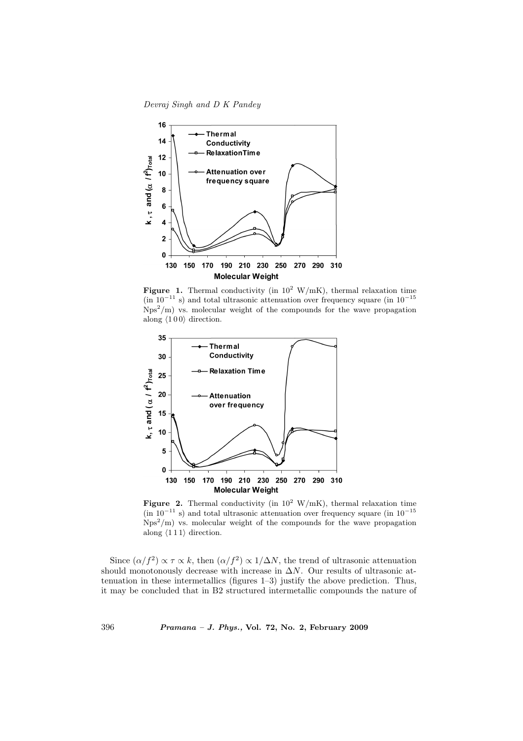Devraj Singh and D K Pandey



Figure 1. Thermal conductivity (in  $10^2$  W/mK), thermal relaxation time  $(in 10<sup>-11</sup> s)$  and total ultrasonic attenuation over frequency square  $(in 10<sup>-15</sup>$  $Nps<sup>2</sup>/m$ ) vs. molecular weight of the compounds for the wave propagation along  $\langle 100 \rangle$  direction.



Figure 2. Thermal conductivity (in  $10^2$  W/mK), thermal relaxation time  $(in 10<sup>-11</sup> s)$  and total ultrasonic attenuation over frequency square  $(in 10<sup>-15</sup>$  $Nps<sup>2</sup>/m$ ) vs. molecular weight of the compounds for the wave propagation along  $\langle 1 1 1 \rangle$  direction.

Since  $(\alpha/f^2) \propto \tau \propto k$ , then  $(\alpha/f^2) \propto 1/\Delta N$ , the trend of ultrasonic attenuation should monotonously decrease with increase in  $\Delta N$ . Our results of ultrasonic attenuation in these intermetallics (figures 1–3) justify the above prediction. Thus, it may be concluded that in B2 structured intermetallic compounds the nature of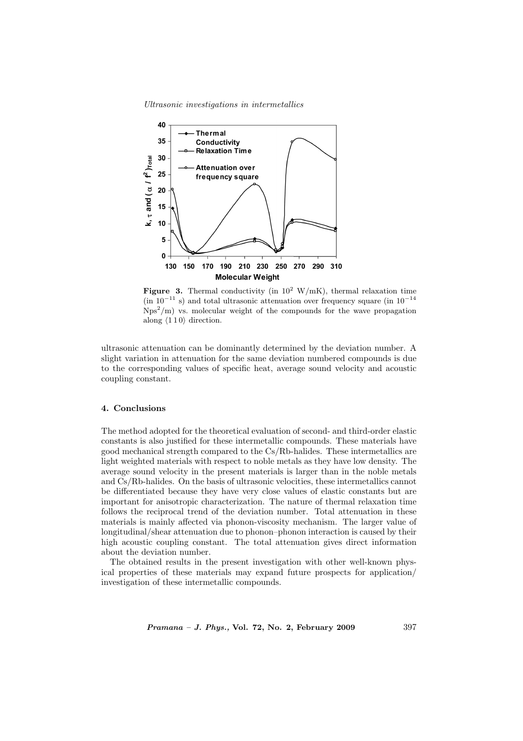Ultrasonic investigations in intermetallics



Figure 3. Thermal conductivity (in  $10^2$  W/mK), thermal relaxation time  $(in 10<sup>-11</sup> s)$  and total ultrasonic attenuation over frequency square  $(in 10<sup>-14</sup> s)$  $Nps<sup>2</sup>/m$ ) vs. molecular weight of the compounds for the wave propagation along  $\langle 1 1 0 \rangle$  direction.

ultrasonic attenuation can be dominantly determined by the deviation number. A slight variation in attenuation for the same deviation numbered compounds is due to the corresponding values of specific heat, average sound velocity and acoustic coupling constant.

## 4. Conclusions

The method adopted for the theoretical evaluation of second- and third-order elastic constants is also justified for these intermetallic compounds. These materials have good mechanical strength compared to the Cs/Rb-halides. These intermetallics are light weighted materials with respect to noble metals as they have low density. The average sound velocity in the present materials is larger than in the noble metals and Cs/Rb-halides. On the basis of ultrasonic velocities, these intermetallics cannot be differentiated because they have very close values of elastic constants but are important for anisotropic characterization. The nature of thermal relaxation time follows the reciprocal trend of the deviation number. Total attenuation in these materials is mainly affected via phonon-viscosity mechanism. The larger value of longitudinal/shear attenuation due to phonon–phonon interaction is caused by their high acoustic coupling constant. The total attenuation gives direct information about the deviation number.

The obtained results in the present investigation with other well-known physical properties of these materials may expand future prospects for application/ investigation of these intermetallic compounds.